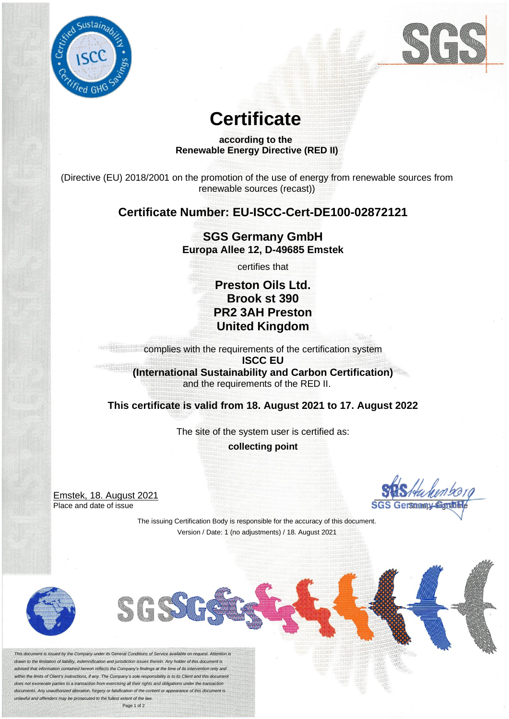



# **Certificate**

#### **according to the Renewable Energy Directive (RED II)**

(Directive (EU) 2018/2001 on the promotion of the use of energy from renewable sources from renewable sources (recast))

## **Certificate Number: EU-ISCC-Cert-DE100-02872121**

## **SGS Germany GmbH Europa Allee 12, D-49685 Emstek**

certifies that

## **Preston Oils Ltd. Brook st 390 PR2 3AH Preston United Kingdom**

complies with the requirements of the certification system **ISCC EU (International Sustainability and Carbon Certification)** and the requirements of the RED II.

**This certificate is valid from 18. August 2021 to 17. August 2022** 

The site of the system user is certified as: **collecting point**

Emstek, 18. August 2021 Place and date of issue

The issuing Certification Body is responsible for the accuracy of this document. Version / Date: 1 (no adjustments) / 18. August 2021



*This document is issued by the Company under its General Conditions of Service available on request. Attention is drawn to the limitation of liability, indemnification and jurisdiction issues therein. Any holder of this document is advised that information contained hereon reflects the Company's findings at the time of its intervention only and within the limits of Client's instructions, if any. The Company's sole responsibility is to its Client and this document does not exonerate parties to a transaction from exercising all their rights and obligations under the transaction documents. Any unauthorized alteration, forgery or falsification of the content or appearance of this document is unlawful and offenders may be prosecuted to the fullest extent of the law.*

Page 1 of 2

SGS